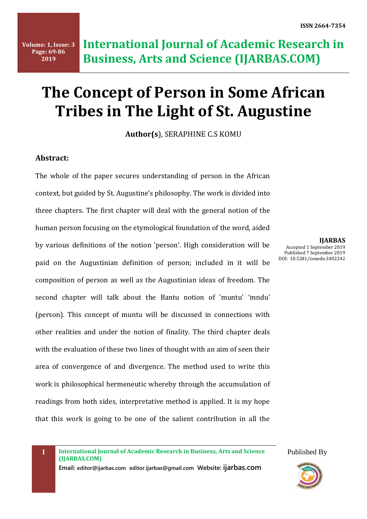# **The Concept of Person in Some African Tribes in The Light of St. Augustine**

**Author(s**), SERAPHINE C.S KOMU

# **Abstract:**

The whole of the paper secures understanding of person in the African context, but guided by St. Augustine's philosophy. The work is divided into three chapters. The first chapter will deal with the general notion of the human person focusing on the etymological foundation of the word, aided by various definitions of the notion 'person'. High consideration will be paid on the Augustinian definition of person; included in it will be composition of person as well as the Augustinian ideas of freedom. The second chapter will talk about the Bantu notion of 'muntu' 'mndu' (person). This concept of muntu will be discussed in connections with other realities and under the notion of finality. The third chapter deals with the evaluation of these two lines of thought with an aim of seen their area of convergence of and divergence. The method used to write this work is philosophical hermeneutic whereby through the accumulation of readings from both sides, interpretative method is applied. It is my hope that this work is going to be one of the salient contribution in all the

**IJARBAS** Accepted 1 September 2019 Published 7 September 2019 DOI: 10.5281/zenodo.3402242

**1 International Journal of Academic Research in Business, Arts and Science (IJARBAS.COM)**

**Email: editor@ijarbas.com editor.ijarbas@gmail.com Website: ijarbas.com** 

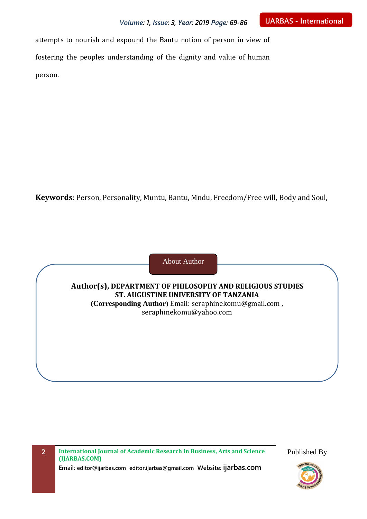attempts to nourish and expound the Bantu notion of person in view of fostering the peoples understanding of the dignity and value of human person.

**Keywords**: Person, Personality, Muntu, Bantu, Mndu, Freedom/Free will, Body and Soul,



**Author(s), DEPARTMENT OF PHILOSOPHY AND RELIGIOUS STUDIES ST. AUGUSTINE UNIVERSITY OF TANZANIA (Corresponding Author**) Email: [seraphinekomu@gmail.com](mailto:seraphinekomu@gmail.com) , [seraphinekomu@yahoo.com](mailto:seraphinekomu@yahoo.com)

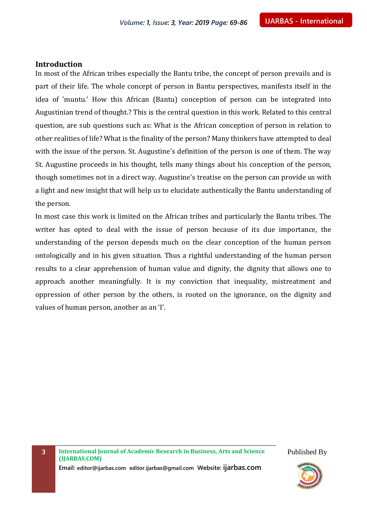#### **Introduction**

In most of the African tribes especially the Bantu tribe, the concept of person prevails and is part of their life. The whole concept of person in Bantu perspectives, manifests itself in the idea of 'muntu.' How this African (Bantu) conception of person can be integrated into Augustinian trend of thought.? This is the central question in this work. Related to this central question, are sub questions such as: What is the African conception of person in relation to other realities of life? What is the finality of the person? Many thinkers have attempted to deal with the issue of the person. St. Augustine's definition of the person is one of them. The way St. Augustine proceeds in his thought, tells many things about his conception of the person, though sometimes not in a direct way. Augustine's treatise on the person can provide us with a light and new insight that will help us to elucidate authentically the Bantu understanding of the person.

In most case this work is limited on the African tribes and particularly the Bantu tribes. The writer has opted to deal with the issue of person because of its due importance, the understanding of the person depends much on the clear conception of the human person ontologically and in his given situation. Thus a rightful understanding of the human person results to a clear apprehension of human value and dignity, the dignity that allows one to approach another meaningfully. It is my conviction that inequality, mistreatment and oppression of other person by the others, is rooted on the ignorance, on the dignity and values of human person, another as an 'I'.

**3 International Journal of Academic Research in Business, Arts and Science (IJARBAS.COM)**

Published By

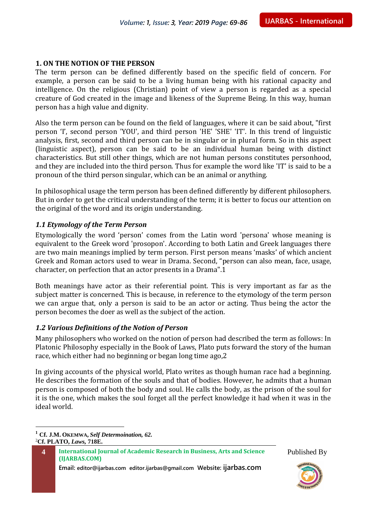# **1. ON THE NOTION OF THE PERSON**

The term person can be defined differently based on the specific field of concern. For example, a person can be said to be a living human being with his rational capacity and intelligence. On the religious (Christian) point of view a person is regarded as a special creature of God created in the image and likeness of the Supreme Being. In this way, human person has a high value and dignity.

Also the term person can be found on the field of languages, where it can be said about, "first person 'I', second person 'YOU', and third person 'HE' 'SHE' 'IT'. In this trend of linguistic analysis, first, second and third person can be in singular or in plural form. So in this aspect (linguistic aspect), person can be said to be an individual human being with distinct characteristics. But still other things, which are not human persons constitutes personhood, and they are included into the third person. Thus for example the word like 'IT' is said to be a pronoun of the third person singular, which can be an animal or anything.

In philosophical usage the term person has been defined differently by different philosophers. But in order to get the critical understanding of the term; it is better to focus our attention on the original of the word and its origin understanding.

# *1.1 Etymology of the Term Person*

Etymologically the word 'person' comes from the Latin word 'persona' whose meaning is equivalent to the Greek word 'prosopon'. According to both Latin and Greek languages there are two main meanings implied by term person. First person means 'masks' of which ancient Greek and Roman actors used to wear in Drama. Second, "person can also mean, face, usage, character, on perfection that an actor presents in a Drama".1

Both meanings have actor as their referential point. This is very important as far as the subject matter is concerned. This is because, in reference to the etymology of the term person we can argue that, only a person is said to be an actor or acting. Thus being the actor the person becomes the doer as well as the subject of the action.

# *1.2 Various Definitions of the Notion of Person*

Many philosophers who worked on the notion of person had described the term as follows: In Platonic Philosophy especially in the Book of Laws, Plato puts forward the story of the human race, which either had no beginning or began long time ago,2

In giving accounts of the physical world, Plato writes as though human race had a beginning. He describes the formation of the souls and that of bodies. However, he admits that a human person is composed of both the body and soul. He calls the body, as the prison of the soul for it is the one, which makes the soul forget all the perfect knowledge it had when it was in the ideal world.

 $\overline{a}$ 

**Email: editor@ijarbas.com editor.ijarbas@gmail.com Website: ijarbas.com**



**<sup>1</sup> Cf. J.M. OKEMWA,** *Self Determoination, 62.* 2**Cf. PLATO,** *Laws,* **718E.**

**<sup>4</sup> International Journal of Academic Research in Business, Arts and Science (IJARBAS.COM)**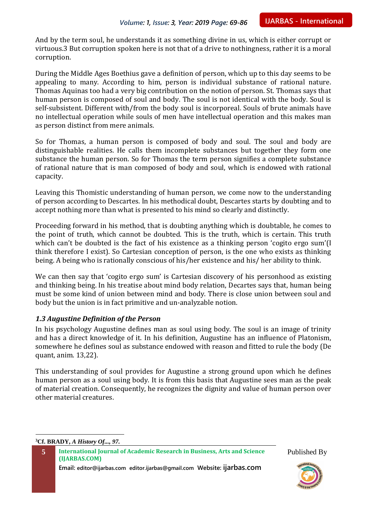And by the term soul, he understands it as something divine in us, which is either corrupt or virtuous.3 But corruption spoken here is not that of a drive to nothingness, rather it is a moral corruption.

During the Middle Ages Boethius gave a definition of person, which up to this day seems to be appealing to many. According to him, person is individual substance of rational nature. Thomas Aquinas too had a very big contribution on the notion of person. St. Thomas says that human person is composed of soul and body. The soul is not identical with the body. Soul is self-subsistent. Different with/from the body soul is incorporeal. Souls of brute animals have no intellectual operation while souls of men have intellectual operation and this makes man as person distinct from mere animals.

So for Thomas, a human person is composed of body and soul. The soul and body are distinguishable realities. He calls them incomplete substances but together they form one substance the human person. So for Thomas the term person signifies a complete substance of rational nature that is man composed of body and soul, which is endowed with rational capacity.

Leaving this Thomistic understanding of human person, we come now to the understanding of person according to Descartes. In his methodical doubt, Descartes starts by doubting and to accept nothing more than what is presented to his mind so clearly and distinctly.

Proceeding forward in his method, that is doubting anything which is doubtable, he comes to the point of truth, which cannot be doubted. This is the truth, which is certain. This truth which can't be doubted is the fact of his existence as a thinking person 'cogito ergo sum'(I think therefore I exist). So Cartesian conception of person, is the one who exists as thinking being. A being who is rationally conscious of his/her existence and his/ her ability to think.

We can then say that 'cogito ergo sum' is Cartesian discovery of his personhood as existing and thinking being. In his treatise about mind body relation, Decartes says that, human being must be some kind of union between mind and body. There is close union between soul and body but the union is in fact primitive and un-analyzable notion.

# *1.3 Augustine Definition of the Person*

In his psychology Augustine defines man as soul using body. The soul is an image of trinity and has a direct knowledge of it. In his definition, Augustine has an influence of Platonism, somewhere he defines soul as substance endowed with reason and fitted to rule the body (De quant, anim. 13,22).

This understanding of soul provides for Augustine a strong ground upon which he defines human person as a soul using body. It is from this basis that Augustine sees man as the peak of material creation. Consequently, he recognizes the dignity and value of human person over other material creatures.

**3Cf. BRADY,** *A History Of..., 97.*

 $\overline{a}$ 

**Email: editor@ijarbas.com editor.ijarbas@gmail.com Website: ijarbas.com**

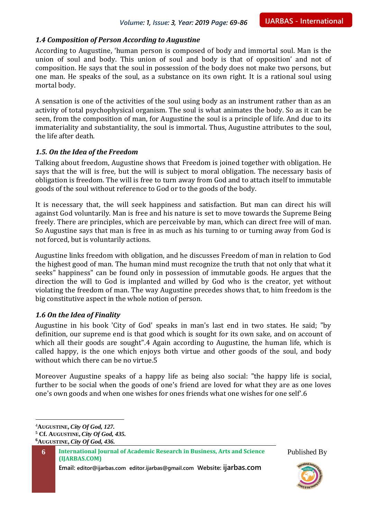# *1.4 Composition of Person According to Augustine*

According to Augustine, 'human person is composed of body and immortal soul. Man is the union of soul and body. This union of soul and body is that of opposition' and not of composition. He says that the soul in possession of the body does not make two persons, but one man. He speaks of the soul, as a substance on its own right. It is a rational soul using mortal body.

A sensation is one of the activities of the soul using body as an instrument rather than as an activity of total psychophysical organism. The soul is what animates the body. So as it can be seen, from the composition of man, for Augustine the soul is a principle of life. And due to its immateriality and substantiality, the soul is immortal. Thus, Augustine attributes to the soul, the life after death.

## *1.5. On the Idea of the Freedom*

Talking about freedom, Augustine shows that Freedom is joined together with obligation. He says that the will is free, but the will is subject to moral obligation. The necessary basis of obligation is freedom. The will is free to turn away from God and to attach itself to immutable goods of the soul without reference to God or to the goods of the body.

It is necessary that, the will seek happiness and satisfaction. But man can direct his will against God voluntarily. Man is free and his nature is set to move towards the Supreme Being freely. There are principles, which are perceivable by man, which can direct free will of man. So Augustine says that man is free in as much as his turning to or turning away from God is not forced, but is voluntarily actions.

Augustine links freedom with obligation, and he discusses Freedom of man in relation to God the highest good of man. The human mind must recognize the truth that not only that what it seeks" happiness" can be found only in possession of immutable goods. He argues that the direction the will to God is implanted and willed by God who is the creator, yet without violating the freedom of man. The way Augustine precedes shows that, to him freedom is the big constitutive aspect in the whole notion of person.

# *1.6 On the Idea of Finality*

Augustine in his book 'City of God' speaks in man's last end in two states. He said; "by definition, our supreme end is that good which is sought for its own sake, and on account of which all their goods are sought".4 Again according to Augustine, the human life, which is called happy, is the one which enjoys both virtue and other goods of the soul, and body without which there can be no virtue.5

Moreover Augustine speaks of a happy life as being also social: "the happy life is social, further to be social when the goods of one's friend are loved for what they are as one loves one's own goods and when one wishes for ones friends what one wishes for one self'.6

 $\overline{a}$ 

**Email: editor@ijarbas.com editor.ijarbas@gmail.com Website: ijarbas.com**



<sup>4</sup>**AUGUSTINE,** *City Of God, 127.*

**<sup>5</sup> Cf. AUGUSTINE,** *City Of God, 435.*

**<sup>6</sup>AUGUSTINE,** *City Of God, 436.*

**<sup>6</sup> International Journal of Academic Research in Business, Arts and Science (IJARBAS.COM)**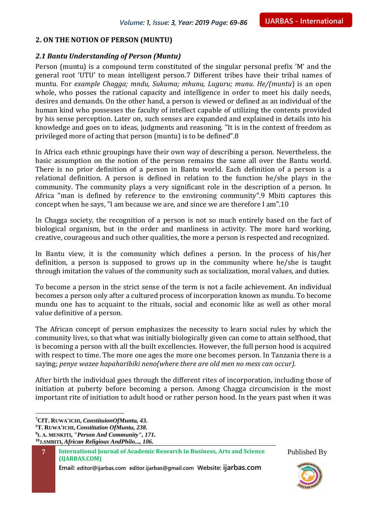## **2. ON THE NOTION OF PERSON (MUNTU)**

## *2.1 Bantu Understanding of Person (Muntu)*

Person (muntu) is a compound term constituted of the singular personal prefix 'M' and the general root 'UTU' to mean intelligent person.7 Different tribes have their tribal names of muntu. For *example Chagga; mndu, Sukuma; mhunu, Luguru; munu. He/(muntu*) is an open whole, who posses the rational capacity and intelligence in order to meet his daily needs, desires and demands. On the other hand, a person is viewed or defined as an individual of the human kind who possesses the faculty of intellect capable of utilizing the contents provided by his sense perception. Later on, such senses are expanded and explained in details into his knowledge and goes on to ideas, judgments and reasoning. "It is in the context of freedom as privileged more of acting that person (muntu) is to be defined".8

In Africa each ethnic groupings have their own way of describing a person. Nevertheless, the basic assumption on the notion of the person remains the same all over the Bantu world. There is no prior definition of a person in Bantu world. Each definition of a person is a relational definition. A person is defined in relation to the function he/she plays in the community. The community plays a very significant role in the description of a person. In Africa "man is defined by reference to the environing community".9 Mbiti captures this concept when he says, "I am because we are, and since we are therefore I am".10

In Chagga society, the recognition of a person is not so much entirely based on the fact of biological organism, but in the order and manliness in activity. The more hard working, creative, courageous and such other qualities, the more a person is respected and recognized.

In Bantu view, it is the community which defines a person. In the process of his/her definition, a person is supposed to grows up in the community where he/she is taught through imitation the values of the community such as socialization, moral values, and duties.

To become a person in the strict sense of the term is not a facile achievement. An individual becomes a person only after a cultured process of incorporation known as mundu. To become mundu one has to acquaint to the rituals, social and economic like as well as other moral value definitive of a person.

The African concept of person emphasizes the necessity to learn social rules by which the community lives, so that what was initially biologically given can come to attain selfhood, that is becoming a person with all the built excellencies. However, the full person hood is acquired with respect to time. The more one ages the more one becomes person. In Tanzania there is a saying; *penye wazee hapaharibiki neno(where there are old men no mess can occur).*

After birth the individual goes through the different rites of incorporation, including those of initiation at puberty before becoming a person. Among Chagga circumcision is the most important rite of initiation to adult hood or rather person hood. In the years past when it was

 $\overline{a}$ 

**Email: editor@ijarbas.com editor.ijarbas@gmail.com Website: ijarbas.com**



**<sup>7</sup>CfT. RUWA'ICHI,** *ConstituionOfMuntu, 43.*

<sup>8</sup>**T. RUWA'ICHI,** *Constitution OfMuntu, 238.*

**<sup>9</sup> I. A. MENKITI,** *"Person And Community", 171.*

**<sup>10</sup>J.SMBITI,** *African Religious AndPhilo..., 106.*

**<sup>7</sup> International Journal of Academic Research in Business, Arts and Science (IJARBAS.COM)**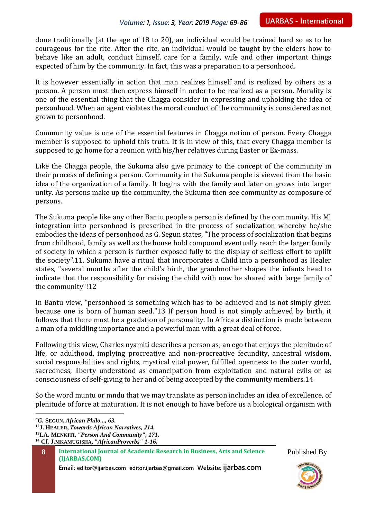done traditionally (at the age of 18 to 20), an individual would be trained hard so as to be courageous for the rite. After the rite, an individual would be taught by the elders how to behave like an adult, conduct himself, care for a family, wife and other important things expected of him by the community. In fact, this was a preparation to a personhood.

It is however essentially in action that man realizes himself and is realized by others as a person. A person must then express himself in order to be realized as a person. Morality is one of the essential thing that the Chagga consider in expressing and upholding the idea of personhood. When an agent violates the moral conduct of the community is considered as not grown to personhood.

Community value is one of the essential features in Chagga notion of person. Every Chagga member is supposed to uphold this truth. It is in view of this, that every Chagga member is supposed to go home for a reunion with his/her relatives during Easter or Ex-mass.

Like the Chagga people, the Sukuma also give primacy to the concept of the community in their process of defining a person. Community in the Sukuma people is viewed from the basic idea of the organization of a family. It begins with the family and later on grows into larger unity. As persons make up the community, the Sukuma then see community as composure of persons.

The Sukuma people like any other Bantu people a person is defined by the community. His Ml integration into personhood is prescribed in the process of socialization whereby he/she embodies the ideas of personhood as G. Segun states, "The process of socialization that begins from childhood, family as well as the house hold compound eventually reach the larger family of society in which a person is further exposed fully to the display of selfless effort to uplift the society".11. Sukuma have a ritual that incorporates a Child into a personhood as Healer states, "several months after the child's birth, the grandmother shapes the infants head to indicate that the responsibility for raising the child with now be shared with large family of the community"!12

In Bantu view, "personhood is something which has to be achieved and is not simply given because one is born of human seed."13 If person hood is not simply achieved by birth, it follows that there must be a gradation of personality. In Africa a distinction is made between a man of a middling importance and a powerful man with a great deal of force.

Following this view, Charles nyamiti describes a person as; an ego that enjoys the plenitude of life, or adulthood, implying procreative and non-procreative fecundity, ancestral wisdom, social responsibilities and rights, mystical vital power, fulfilled openness to the outer world, sacredness, liberty understood as emancipation from exploitation and natural evils or as consciousness of self-giving to her and of being accepted by the community members.14

So the word muntu or mndu that we may translate as person includes an idea of excellence, of plenitude of force at maturation. It is not enough to have before us a biological organism with

*<sup>n</sup>G.* **SEGUN,** *African Philo..., 63.*

 $\overline{a}$ 

**<sup>12</sup>J. HEALER,** *Towards African Narratives, J14.*

**<sup>13</sup>I.A. MENKITI,** *"Person And Community", 171.*

**<sup>14</sup> Cf. J.MKAMUGISHA,** *"AfricanProverbs" 1-16.*

**Email: editor@ijarbas.com editor.ijarbas@gmail.com Website: ijarbas.com**



**<sup>8</sup> International Journal of Academic Research in Business, Arts and Science (IJARBAS.COM)**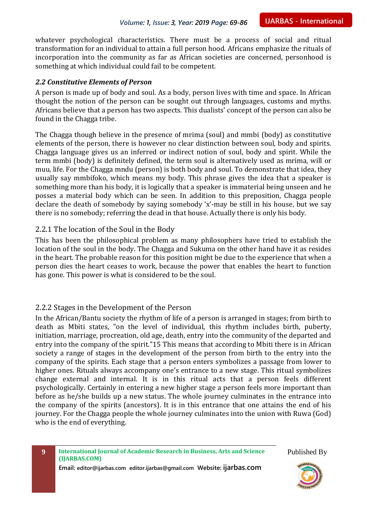whatever psychological characteristics. There must be a process of social and ritual transformation for an individual to attain a full person hood. Africans emphasize the rituals of incorporation into the community as far as African societies are concerned, personhood is something at which individual could fail to be competent.

#### *2.2 Constitutive Elements of Person*

A person is made up of body and soul. As a body, person lives with time and space. In African thought the notion of the person can be sought out through languages, customs and myths. Africans believe that a person has two aspects. This dualists' concept of the person can also be found in the Chagga tribe.

The Chagga though believe in the presence of mrima (soul) and mmbi (body) as constitutive elements of the person, there is however no clear distinction between soul, body and spirits. Chagga language gives us an inferred or indirect notion of soul, body and spirit. While the term mmbi (body) is definitely defined, the term soul is alternatively used as mrima, will or muu, life. For the Chagga mndu (person) is both body and soul. To demonstrate that idea, they usually say mmbifoko, which means my body. This phrase gives the idea that a speaker is something more than his body, it is logically that a speaker is immaterial being unseen and he posses a material body which can be seen. In addition to this preposition, Chagga people declare the death of somebody by saying somebody 'x'-may be still in his house, but we say there is no somebody; referring the dead in that house. Actually there is only his body.

# 2.2.1 The location of the Soul in the Body

This has been the philosophical problem as many philosophers have tried to establish the location of the soul in the body. The Chagga and Sukuma on the other hand have it as resides in the heart. The probable reason for this position might be due to the experience that when a person dies the heart ceases to work, because the power that enables the heart to function has gone. This power is what is considered to be the soul.

# 2.2.2 Stages in the Development of the Person

In the African/Bantu society the rhythm of life of a person is arranged in stages; from birth to death as Mbiti states, "on the level of individual, this rhythm includes birth, puberty, initiation, marriage, procreation, old age, death, entry into the community of the departed and entry into the company of the spirit."15 This means that according to Mbiti there is in African society a range of stages in the development of the person from birth to the entry into the company of the spirits. Each stage that a person enters symbolizes a passage from lower to higher ones. Rituals always accompany one's entrance to a new stage. This ritual symbolizes change external and internal. It is in this ritual acts that a person feels different psychologically. Certainly in entering a new higher stage a person feels more important than before as he/she builds up a new status. The whole journey culminates in the entrance into the company of the spirits (ancestors). It is in this entrance that one attains the end of his journey. For the Chagga people the whole journey culminates into the union with Ruwa (God) who is the end of everything.

Published By

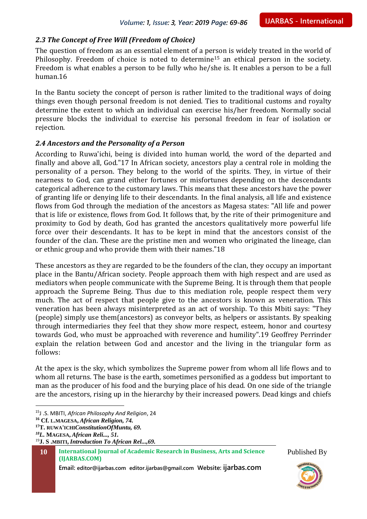# *2.3 The Concept of Free Will (Freedom of Choice)*

The question of freedom as an essential element of a person is widely treated in the world of Philosophy. Freedom of choice is noted to determine<sup>15</sup> an ethical person in the society. Freedom is what enables a person to be fully who he/she is. It enables a person to be a full human.16

In the Bantu society the concept of person is rather limited to the traditional ways of doing things even though personal freedom is not denied. Ties to traditional customs and royalty determine the extent to which an individual can exercise his/her freedom. Normally social pressure blocks the individual to exercise his personal freedom in fear of isolation or rejection.

## *2.4 Ancestors and the Personality of a Person*

According to Ruwa'ichi, being is divided into human world, the word of the departed and finally and above all, God."17 In African society, ancestors play a central role in molding the personality of a person. They belong to the world of the spirits. They, in virtue of their nearness to God, can grand either fortunes or misfortunes depending on the descendants categorical adherence to the customary laws. This means that these ancestors have the power of granting life or denying life to their descendants. In the final analysis, all life and existence flows from God through the mediation of the ancestors as Magesa states: "All life and power that is life or existence, flows from God. It follows that, by the rite of their primogeniture and proximity to God by death, God has granted the ancestors qualitatively more powerful life force over their descendants. It has to be kept in mind that the ancestors consist of the founder of the clan. These are the pristine men and women who originated the lineage, clan or ethnic group and who provide them with their names."18

These ancestors as they are regarded to be the founders of the clan, they occupy an important place in the Bantu/African society. People approach them with high respect and are used as mediators when people communicate with the Supreme Being. It is through them that people approach the Supreme Being. Thus due to this mediation role, people respect them very much. The act of respect that people give to the ancestors is known as veneration. This veneration has been always misinterpreted as an act of worship. To this Mbiti says: "They (people) simply use them(ancestors) as conveyor belts, as helpers or assistants. By speaking through intermediaries they feel that they show more respect, esteem, honor and courtesy towards God, who must be approached with reverence and humility".19 Geoffrey Perrinder explain the relation between God and ancestor and the living in the triangular form as follows:

At the apex is the sky, which symbolizes the Supreme power from whom all life flows and to whom all returns. The base is the earth, sometimes personified as a goddess but important to man as the producer of his food and the burying place of his dead. On one side of the triangle are the ancestors, rising up in the hierarchy by their increased powers. Dead kings and chiefs

 $\overline{a}$ 

**Email: editor@ijarbas.com editor.ijarbas@gmail.com Website: ijarbas.com**



<sup>15</sup>J .S. MBITI, *African Philosophy And Religion*, 24

**<sup>16</sup> Cf. L.MAGESA,** *African Religion, 74.*

**<sup>17</sup>T. RUWA'ICHI***ConstitutionOfMuntu, 69.*

*<sup>18</sup>L.* **MAGESA,** *African Reli..., 51.*

<sup>19</sup>**J. S .MBITI,** *Introduction To African Rel...,69.*

**<sup>10</sup> International Journal of Academic Research in Business, Arts and Science (IJARBAS.COM)**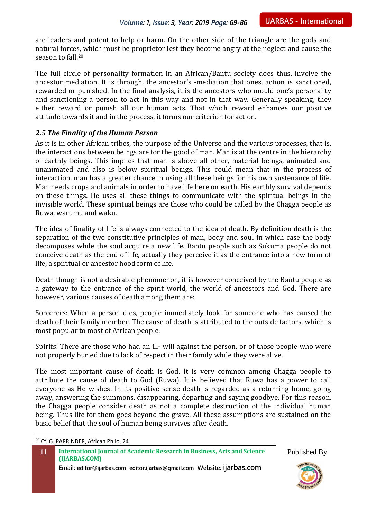are leaders and potent to help or harm. On the other side of the triangle are the gods and natural forces, which must be proprietor lest they become angry at the neglect and cause the season to fall.<sup>20</sup>

The full circle of personality formation in an African/Bantu society does thus, involve the ancestor mediation. It is through. the ancestor's -mediation that ones, action is sanctioned, rewarded or punished. In the final analysis, it is the ancestors who mould one's personality and sanctioning a person to act in this way and not in that way. Generally speaking, they either reward or punish all our human acts. That which reward enhances our positive attitude towards it and in the process, it forms our criterion for action.

## *2.5 The Finality of the Human Person*

As it is in other African tribes, the purpose of the Universe and the various processes, that is, the interactions between beings are for the good of man. Man is at the centre in the hierarchy of earthly beings. This implies that man is above all other, material beings, animated and unanimated and also is below spiritual beings. This could mean that in the process of interaction, man has a greater chance in using all these beings for his own sustenance of life. Man needs crops and animals in order to have life here on earth. His earthly survival depends on these things. He uses all these things to communicate with the spiritual beings in the invisible world. These spiritual beings are those who could be called by the Chagga people as Ruwa, warumu and waku.

The idea of finality of life is always connected to the idea of death. By definition death is the separation of the two constitutive principles of man, body and soul in which case the body decomposes while the soul acquire a new life. Bantu people such as Sukuma people do not conceive death as the end of life, actually they perceive it as the entrance into a new form of life, a spiritual or ancestor hood form of life.

Death though is not a desirable phenomenon, it is however conceived by the Bantu people as a gateway to the entrance of the spirit world, the world of ancestors and God. There are however, various causes of death among them are:

Sorcerers: When a person dies, people immediately look for someone who has caused the death of their family member. The cause of death is attributed to the outside factors, which is most popular to most of African people.

Spirits: There are those who had an ill- will against the person, or of those people who were not properly buried due to lack of respect in their family while they were alive.

The most important cause of death is God. It is very common among Chagga people to attribute the cause of death to God (Ruwa). It is believed that Ruwa has a power to call everyone as He wishes. In its positive sense death is regarded as a returning home, going away, answering the summons, disappearing, departing and saying goodbye. For this reason, the Chagga people consider death as not a complete destruction of the individual human being. Thus life for them goes beyond the grave. All these assumptions are sustained on the basic belief that the soul of human being survives after death.

<sup>20</sup> Cf. G. PARRINDER, African Philo, 24

 $\overline{a}$ 

**Email: editor@ijarbas.com editor.ijarbas@gmail.com Website: ijarbas.com**



**<sup>11</sup> International Journal of Academic Research in Business, Arts and Science (IJARBAS.COM)**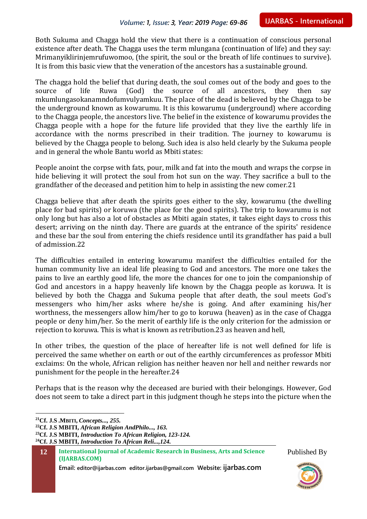Both Sukuma and Chagga hold the view that there is a continuation of conscious personal existence after death. The Chagga uses the term mlungana (continuation of life) and they say: Mrimanyiklirinjemrufuwomoo, (the spirit, the soul or the breath of life continues to survive). It is from this basic view that the veneration of the ancestors has a sustainable ground.

The chagga hold the belief that during death, the soul comes out of the body and goes to the source of life Ruwa (God) the source of all ancestors, they then say mkumlungasokanamndofumvulyamkuu. The place of the dead is believed by the Chagga to be the underground known as kowarumu. It is this kowarumu (underground) where according to the Chagga people, the ancestors live. The belief in the existence of kowarumu provides the Chagga people with a hope for the future life provided that they live the earthly life in accordance with the norms prescribed in their tradition. The journey to kowarumu is believed by the Chagga people to belong. Such idea is also held clearly by the Sukuma people and in general the whole Bantu world as Mbiti states:

People anoint the corpse with fats, pour, milk and fat into the mouth and wraps the corpse in hide believing it will protect the soul from hot sun on the way. They sacrifice a bull to the grandfather of the deceased and petition him to help in assisting the new comer.21

Chagga believe that after death the spirits goes either to the sky, kowarumu (the dwelling place for bad spirits) or koruwa (the place for the good spirits). The trip to kowarumu is not only long but has also a lot of obstacles as Mbiti again states, it takes eight days to cross this desert; arriving on the ninth day. There are guards at the entrance of the spirits' residence and these bar the soul from entering the chiefs residence until its grandfather has paid a bull of admission.22

The difficulties entailed in entering kowarumu manifest the difficulties entailed for the human community live an ideal life pleasing to God and ancestors. The more one takes the pains to live an earthly good life, the more the chances for one to join the companionship of God and ancestors in a happy heavenly life known by the Chagga people as koruwa. It is believed by both the Chagga and Sukuma people that after death, the soul meets God's messengers who him/her asks where he/she is going. And after examining his/her worthness, the messengers allow him/her to go to koruwa (heaven) as in the case of Chagga people or deny him/her. So the merit of earthly life is the only criterion for the admission or rejection to koruwa. This is what is known as retribution.23 as heaven and hell,

In other tribes, the question of the place of hereafter life is not well defined for life is perceived the same whether on earth or out of the earthly circumferences as professor Mbiti exclaims: On the whole, African religion has neither heaven nor hell and neither rewards nor punishment for the people in the hereafter.24

Perhaps that is the reason why the deceased are buried with their belongings. However, God does not seem to take a direct part in this judgment though he steps into the picture when the

 $\overline{a}$ 

**Email: editor@ijarbas.com editor.ijarbas@gmail.com Website: ijarbas.com**



**<sup>21</sup>Cf. J.S .MBITI,** *Concepts..., 255.*

**<sup>22</sup>Cf. J.S MBITI,** *African Religion AndPhilo..., 163.*

**<sup>23</sup>Cf. J.S MBITI,** *Introduction To African Religion, 123-124.*

**<sup>24</sup>Cf. J.S MBITI,** *Introduction To African Reli...,124.*

**<sup>12</sup> International Journal of Academic Research in Business, Arts and Science (IJARBAS.COM)**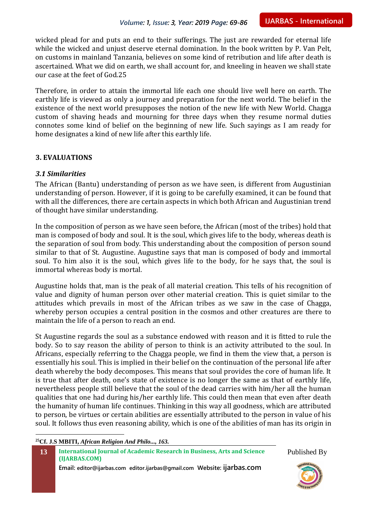wicked plead for and puts an end to their sufferings. The just are rewarded for eternal life while the wicked and unjust deserve eternal domination. In the book written by P. Van Pelt, on customs in mainland Tanzania, believes on some kind of retribution and life after death is ascertained. What we did on earth, we shall account for, and kneeling in heaven we shall state our case at the feet of God.25

Therefore, in order to attain the immortal life each one should live well here on earth. The earthly life is viewed as only a journey and preparation for the next world. The belief in the existence of the next world presupposes the notion of the new life with New World. Chagga custom of shaving heads and mourning for three days when they resume normal duties connotes some kind of belief on the beginning of new life. Such sayings as I am ready for home designates a kind of new life after this earthly life.

## **3. EVALUATIONS**

## *3.1 Similarities*

The African (Bantu) understanding of person as we have seen, is different from Augustinian understanding of person. However, if it is going to be carefully examined, it can be found that with all the differences, there are certain aspects in which both African and Augustinian trend of thought have similar understanding.

In the composition of person as we have seen before, the African (most of the tribes) hold that man is composed of body and soul. It is the soul, which gives life to the body, whereas death is the separation of soul from body. This understanding about the composition of person sound similar to that of St. Augustine. Augustine says that man is composed of body and immortal soul. To him also it is the soul, which gives life to the body, for he says that, the soul is immortal whereas body is mortal.

Augustine holds that, man is the peak of all material creation. This tells of his recognition of value and dignity of human person over other material creation. This is quiet similar to the attitudes which prevails in most of the African tribes as we saw in the case of Chagga, whereby person occupies a central position in the cosmos and other creatures are there to maintain the life of a person to reach an end.

St Augustine regards the soul as a substance endowed with reason and it is fitted to rule the body. So to say reason the ability of person to think is an activity attributed to the soul. In Africans, especially referring to the Chagga people, we find in them the view that, a person is essentially his soul. This is implied in their belief on the continuation of the personal life after death whereby the body decomposes. This means that soul provides the core of human life. It is true that after death, one's state of existence is no longer the same as that of earthly life, nevertheless people still believe that the soul of the dead carries with him/her all the human qualities that one had during his/her earthly life. This could then mean that even after death the humanity of human life continues. Thinking in this way all goodness, which are attributed to person, be virtues or certain abilities are essentially attributed to the person in value of his soul. It follows thus even reasoning ability, which is one of the abilities of man has its origin in

**25Cf. J.S MBITI,** *African Religion And Philo..., 163.*

 $\overline{a}$ 

```
13 International Journal of Academic Research in Business, Arts and Science 
(IJARBAS.COM)
```
**Email: editor@ijarbas.com editor.ijarbas@gmail.com Website: ijarbas.com**

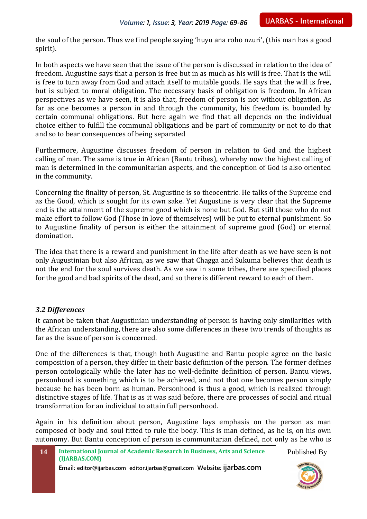the soul of the person. Thus we find people saying 'huyu ana roho nzuri', (this man has a good spirit).

In both aspects we have seen that the issue of the person is discussed in relation to the idea of freedom. Augustine says that a person is free but in as much as his will is free. That is the will is free to turn away from God and attach itself to mutable goods. He says that the will is free, but is subject to moral obligation. The necessary basis of obligation is freedom. In African perspectives as we have seen, it is also that, freedom of person is not without obligation. As far as one becomes a person in and through the community, his freedom is. bounded by certain communal obligations. But here again we find that all depends on the individual choice either to fulfill the communal obligations and be part of community or not to do that and so to bear consequences of being separated

Furthermore, Augustine discusses freedom of person in relation to God and the highest calling of man. The same is true in African (Bantu tribes), whereby now the highest calling of man is determined in the communitarian aspects, and the conception of God is also oriented in the community.

Concerning the finality of person, St. Augustine is so theocentric. He talks of the Supreme end as the Good, which is sought for its own sake. Yet Augustine is very clear that the Supreme end is the attainment of the supreme good which is none but God. But still those who do not make effort to follow God (Those in love of themselves) will be put to eternal punishment. So to Augustine finality of person is either the attainment of supreme good (God) or eternal domination.

The idea that there is a reward and punishment in the life after death as we have seen is not only Augustinian but also African, as we saw that Chagga and Sukuma believes that death is not the end for the soul survives death. As we saw in some tribes, there are specified places for the good and bad spirits of the dead, and so there is different reward to each of them.

#### *3.2 Differences*

It cannot be taken that Augustinian understanding of person is having only similarities with the African understanding, there are also some differences in these two trends of thoughts as far as the issue of person is concerned.

One of the differences is that, though both Augustine and Bantu people agree on the basic composition of a person, they differ in their basic definition of the person. The former defines person ontologically while the later has no well-definite definition of person. Bantu views, personhood is something which is to be achieved, and not that one becomes person simply because he has been born as human. Personhood is thus a good, which is realized through distinctive stages of life. That is as it was said before, there are processes of social and ritual transformation for an individual to attain full personhood.

Again in his definition about person, Augustine lays emphasis on the person as man composed of body and soul fitted to rule the body. This is man defined, as he is, on his own autonomy. But Bantu conception of person is communitarian defined, not only as he who is

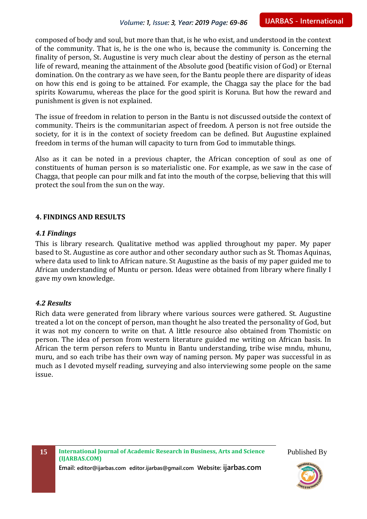composed of body and soul, but more than that, is he who exist, and understood in the context of the community. That is, he is the one who is, because the community is. Concerning the finality of person, St. Augustine is very much clear about the destiny of person as the eternal life of reward, meaning the attainment of the Absolute good (beatific vision of God) or Eternal domination. On the contrary as we have seen, for the Bantu people there are disparity of ideas on how this end is going to be attained. For example, the Chagga say the place for the bad spirits Kowarumu, whereas the place for the good spirit is Koruna. But how the reward and punishment is given is not explained.

The issue of freedom in relation to person in the Bantu is not discussed outside the context of community. Theirs is the communitarian aspect of freedom. A person is not free outside the society, for it is in the context of society freedom can be defined. But Augustine explained freedom in terms of the human will capacity to turn from God to immutable things.

Also as it can be noted in a previous chapter, the African conception of soul as one of constituents of human person is so materialistic one. For example, as we saw in the case of Chagga, that people can pour milk and fat into the mouth of the corpse, believing that this will protect the soul from the sun on the way.

## **4. FINDINGS AND RESULTS**

#### *4.1 Findings*

This is library research. Qualitative method was applied throughout my paper. My paper based to St. Augustine as core author and other secondary author such as St. Thomas Aquinas, where data used to link to African nature. St Augustine as the basis of my paper guided me to African understanding of Muntu or person. Ideas were obtained from library where finally I gave my own knowledge.

#### *4.2 Results*

Rich data were generated from library where various sources were gathered. St. Augustine treated a lot on the concept of person, man thought he also treated the personality of God, but it was not my concern to write on that. A little resource also obtained from Thomistic on person. The idea of person from western literature guided me writing on African basis. In African the term person refers to Muntu in Bantu understanding, tribe wise mndu, mhunu, muru, and so each tribe has their own way of naming person. My paper was successful in as much as I devoted myself reading, surveying and also interviewing some people on the same issue.

**15 International Journal of Academic Research in Business, Arts and Science (IJARBAS.COM)**

Published By

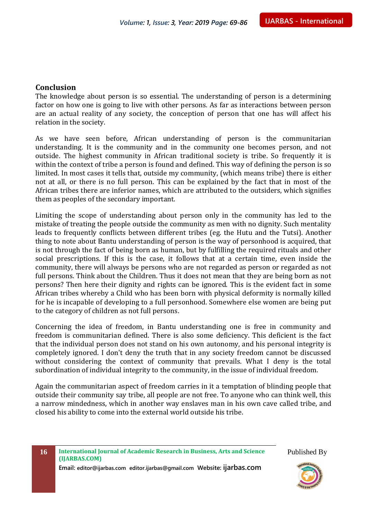# **Conclusion**

The knowledge about person is so essential. The understanding of person is a determining factor on how one is going to live with other persons. As far as interactions between person are an actual reality of any society, the conception of person that one has will affect his relation in the society.

As we have seen before, African understanding of person is the communitarian understanding. It is the community and in the community one becomes person, and not outside. The highest community in African traditional society is tribe. So frequently it is within the context of tribe a person is found and defined. This way of defining the person is so limited. In most cases it tells that, outside my community, (which means tribe) there is either not at all, or there is no full person. This can be explained by the fact that in most of the African tribes there are inferior names, which are attributed to the outsiders, which signifies them as peoples of the secondary important.

Limiting the scope of understanding about person only in the community has led to the mistake of treating the people outside the community as men with no dignity. Such mentality leads to frequently conflicts between different tribes (eg. the Hutu and the Tutsi). Another thing to note about Bantu understanding of person is the way of personhood is acquired, that is not through the fact of being born as human, but by fulfilling the required rituals and other social prescriptions. If this is the case, it follows that at a certain time, even inside the community, there will always be persons who are not regarded as person or regarded as not full persons. Think about the Children. Thus it does not mean that they are being born as not persons? Then here their dignity and rights can be ignored. This is the evident fact in some African tribes whereby a Child who has been born with physical deformity is normally killed for he is incapable of developing to a full personhood. Somewhere else women are being put to the category of children as not full persons.

Concerning the idea of freedom, in Bantu understanding one is free in community and freedom is communitarian defined. There is also some deficiency. This deficient is the fact that the individual person does not stand on his own autonomy, and his personal integrity is completely ignored. I don't deny the truth that in any society freedom cannot be discussed without considering the context of community that prevails. What I deny is the total subordination of individual integrity to the community, in the issue of individual freedom.

Again the communitarian aspect of freedom carries in it a temptation of blinding people that outside their community say tribe, all people are not free. To anyone who can think well, this a narrow mindedness, which in another way enslaves man in his own cave called tribe, and closed his ability to come into the external world outside his tribe.

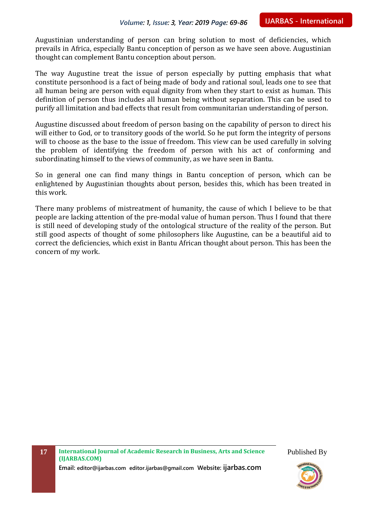Augustinian understanding of person can bring solution to most of deficiencies, which prevails in Africa, especially Bantu conception of person as we have seen above. Augustinian thought can complement Bantu conception about person.

The way Augustine treat the issue of person especially by putting emphasis that what constitute personhood is a fact of being made of body and rational soul, leads one to see that all human being are person with equal dignity from when they start to exist as human. This definition of person thus includes all human being without separation. This can be used to purify all limitation and bad effects that result from communitarian understanding of person.

Augustine discussed about freedom of person basing on the capability of person to direct his will either to God, or to transitory goods of the world. So he put form the integrity of persons will to choose as the base to the issue of freedom. This view can be used carefully in solving the problem of identifying the freedom of person with his act of conforming and subordinating himself to the views of community, as we have seen in Bantu.

So in general one can find many things in Bantu conception of person, which can be enlightened by Augustinian thoughts about person, besides this, which has been treated in this work.

There many problems of mistreatment of humanity, the cause of which I believe to be that people are lacking attention of the pre-modal value of human person. Thus I found that there is still need of developing study of the ontological structure of the reality of the person. But still good aspects of thought of some philosophers like Augustine, can be a beautiful aid to correct the deficiencies, which exist in Bantu African thought about person. This has been the concern of my work.

**Email: editor@ijarbas.com editor.ijarbas@gmail.com Website: ijarbas.com**